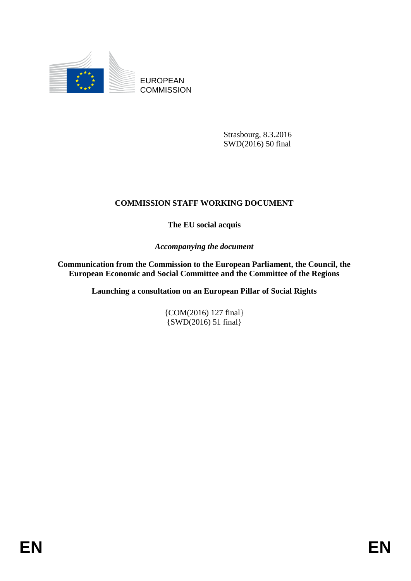

EUROPEAN **COMMISSION** 

> Strasbourg, 8.3.2016 SWD(2016) 50 final

## **COMMISSION STAFF WORKING DOCUMENT**

**The EU social acquis**

*Accompanying the document*

**Communication from the Commission to the European Parliament, the Council, the European Economic and Social Committee and the Committee of the Regions**

**Launching a consultation on an European Pillar of Social Rights**

{COM(2016) 127 final} {SWD(2016) 51 final}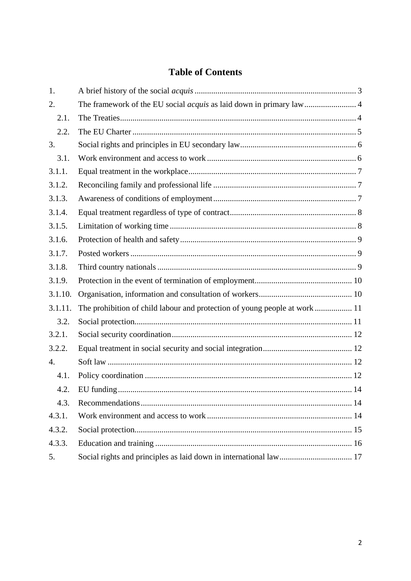# **Table of Contents**

| 1.      |                                                                            |  |
|---------|----------------------------------------------------------------------------|--|
| 2.      | The framework of the EU social <i>acquis</i> as laid down in primary law 4 |  |
| 2.1.    |                                                                            |  |
| 2.2.    |                                                                            |  |
| 3.      |                                                                            |  |
| 3.1.    |                                                                            |  |
| 3.1.1.  |                                                                            |  |
| 3.1.2.  |                                                                            |  |
| 3.1.3.  |                                                                            |  |
| 3.1.4.  |                                                                            |  |
| 3.1.5.  |                                                                            |  |
| 3.1.6.  |                                                                            |  |
| 3.1.7.  |                                                                            |  |
| 3.1.8.  |                                                                            |  |
| 3.1.9.  |                                                                            |  |
| 3.1.10. |                                                                            |  |
| 3.1.11. |                                                                            |  |
| 3.2.    |                                                                            |  |
| 3.2.1.  |                                                                            |  |
| 3.2.2.  |                                                                            |  |
| 4.      |                                                                            |  |
| 4.1.    |                                                                            |  |
| 4.2.    |                                                                            |  |
| 4.3.    |                                                                            |  |
| 4.3.1.  |                                                                            |  |
| 4.3.2.  |                                                                            |  |
| 4.3.3.  |                                                                            |  |
| 5.      |                                                                            |  |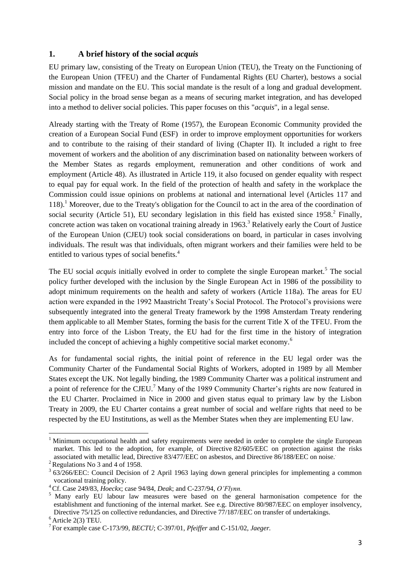## <span id="page-2-0"></span>**1. A brief history of the social** *acquis*

EU primary law, consisting of the Treaty on European Union (TEU), the Treaty on the Functioning of the European Union (TFEU) and the Charter of Fundamental Rights (EU Charter), bestows a social mission and mandate on the EU. This social mandate is the result of a long and gradual development. Social policy in the broad sense began as a means of securing market integration, and has developed into a method to deliver social policies. This paper focuses on this "*acquis*", in a legal sense.

Already starting with the Treaty of Rome (1957), the [European Economic Community](https://en.wikipedia.org/wiki/European_Economic_Community) provided the creation of a European Social Fund (ESF) in order to improve employment opportunities for workers and to contribute to the raising of their standard of living (Chapter II). It included a right to free movement of workers and the abolition of any discrimination based on nationality between workers of the Member States as regards employment, remuneration and other conditions of work and employment (Article 48). As illustrated in Article 119, it also focused on gender equality with respect to equal pay for equal work. In the field of the protection of health and safety in the workplace the Commission could issue opinions on problems at national and international level (Articles 117 and 118).<sup>1</sup> Moreover, due to the Treaty's obligation for the Council to act in the area of the coordination of social security (Article 51), EU secondary legislation in this field has existed since  $1958$ .<sup>2</sup> Finally, concrete action was taken on vocational training already in 1963.<sup>3</sup> Relatively early the Court of Justice of the European Union (CJEU) took social considerations on board, in particular in cases involving individuals. The result was that individuals, often migrant workers and their families were held to be entitled to various types of social benefits.<sup>4</sup>

The EU social *acquis* initially evolved in order to complete the single European market.<sup>5</sup> The social policy further developed with the inclusion by the Single European Act in 1986 of the possibility to adopt minimum requirements on the health and safety of workers (Article 118a). The areas for EU action were expanded in the 1992 Maastricht Treaty's Social Protocol. The Protocol's provisions were subsequently integrated into the general Treaty framework by the 1998 Amsterdam Treaty rendering them applicable to all Member States, forming the basis for the current Title X of the TFEU. From the entry into force of the Lisbon Treaty, the EU had for the first time in the history of integration included the concept of achieving a highly competitive social market economy.<sup>6</sup>

As for fundamental social rights, the initial point of reference in the EU legal order was the Community Charter of the Fundamental Social Rights of Workers, adopted in 1989 by all Member States except the UK. Not legally binding, the 1989 Community Charter was a political instrument and a point of reference for the CJEU.<sup>7</sup> Many of the 1989 Community Charter's rights are now featured in the EU Charter. Proclaimed in Nice in 2000 and given status equal to primary law by the Lisbon Treaty in 2009, the EU Charter contains a great number of social and welfare rights that need to be respected by the EU Institutions, as well as the Member States when they are implementing EU law.

<sup>&</sup>lt;sup>1</sup> Minimum occupational health and safety requirements were needed in order to complete the single European market. This led to the adoption, for example, of Directive 82/605/EEC on protection against the risks associated with metallic lead, Directive 83/477/EEC on asbestos, and Directive 86/188/EEC on noise..

 $2$  Regulations No 3 and 4 of 1958.

<sup>&</sup>lt;sup>3</sup> 63/266/EEC: Council Decision of 2 April 1963 laying down general principles for implementing a common vocational training policy.

<sup>4</sup>Cf. Case 249/83, *Hoeckx*; case 94/84, *Deak*; and C-237/94, *O'Flynn.*

<sup>&</sup>lt;sup>5</sup> Many early EU labour law measures were based on the general harmonisation competence for the establishment and functioning of the internal market. See e.g. Directive 80/987/EEC on employer insolvency, Directive 75/125 on collective redundancies, and Directive 77/187/EEC on transfer of undertakings.  $6$  Article 2(3) TEU.

<sup>7</sup> For example case C-173/99, *BECTU*; C-397/01, *Pfeiffer* and C-151/02, *Jaeger.*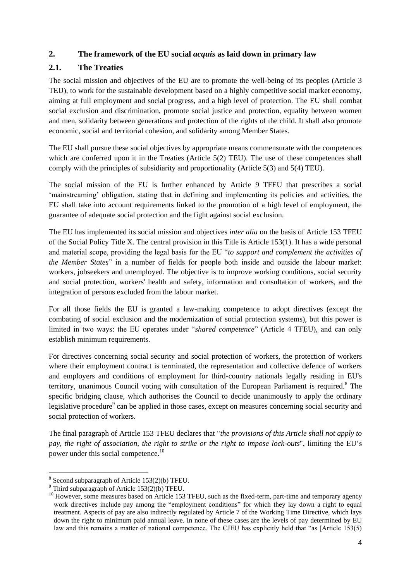## <span id="page-3-0"></span>**2. The framework of the EU social** *acquis* **as laid down in primary law**

## <span id="page-3-1"></span>**2.1. The Treaties**

The social mission and objectives of the EU are to promote the well-being of its peoples (Article 3 TEU), to work for the sustainable development based on a highly competitive social market economy, aiming at full employment and social progress, and a high level of protection. The EU shall combat social exclusion and discrimination, promote social justice and protection, equality between women and men, solidarity between generations and protection of the rights of the child. It shall also promote economic, social and territorial cohesion, and solidarity among Member States.

The EU shall pursue these social objectives by appropriate means commensurate with the competences which are conferred upon it in the Treaties (Article 5(2) TEU). The use of these competences shall comply with the principles of subsidiarity and proportionality (Article 5(3) and 5(4) TEU).

The social mission of the EU is further enhanced by Article 9 TFEU that prescribes a social 'mainstreaming' obligation, stating that in defining and implementing its policies and activities, the EU shall take into account requirements linked to the promotion of a high level of employment, the guarantee of adequate social protection and the fight against social exclusion.

The EU has implemented its social mission and objectives *inter alia* on the basis of Article 153 TFEU of the Social Policy Title X. The central provision in this Title is Article 153(1). It has a wide personal and material scope, providing the legal basis for the EU "*to support and complement the activities of the Member States*" in a number of fields for people both inside and outside the labour market: workers, jobseekers and unemployed. The objective is to improve working conditions, social security and social protection, workers' health and safety, information and consultation of workers, and the integration of persons excluded from the labour market.

For all those fields the EU is granted a law-making competence to adopt directives (except the combating of social exclusion and the modernization of social protection systems), but this power is limited in two ways: the EU operates under "*shared competence*" (Article 4 TFEU), and can only establish minimum requirements.

For directives concerning social security and social protection of workers, the protection of workers where their employment contract is terminated, the representation and collective defence of workers and employers and conditions of employment for third-country nationals legally residing in EU's territory, unanimous Council voting with consultation of the European Parliament is required.<sup>8</sup> The [specific bridging clause,](http://eur-lex.europa.eu/legal-content/EN/AUTO/?uri=uriserv:ai0016) which authorises the Council to decide unanimously to apply the ordinary [legislative procedure](http://eur-lex.europa.eu/legal-content/EN/AUTO/?uri=uriserv:ai0016)<sup>9</sup> can be applied in those cases, except on measures concerning social security and social protection of workers.

The final paragraph of Article 153 TFEU declares that "*the provisions of this Article shall not apply to pay, the right of association, the right to strike or the right to impose lock-outs*", limiting the EU's power under this social competence.<sup>10</sup>

**<sup>.</sup>** 8 Second subparagraph of Article 153(2)(b) TFEU.

<sup>&</sup>lt;sup>9</sup> Third subparagraph of Article 153(2)(b) TFEU.

<sup>&</sup>lt;sup>10</sup> However, some measures based on Article 153 TFEU, such as the fixed-term, part-time and temporary agency work directives include pay among the "employment conditions" for which they lay down a right to equal treatment. Aspects of pay are also indirectly regulated by Article 7 of the Working Time Directive, which lays down the right to minimum paid annual leave. In none of these cases are the levels of pay determined by EU law and this remains a matter of national competence. The CJEU has explicitly held that "as [Article 153(5)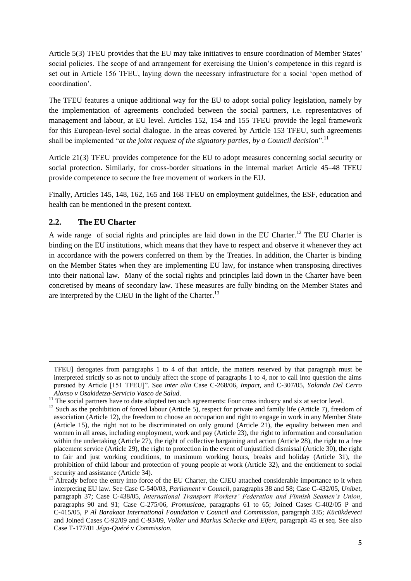Article 5(3) TFEU provides that the EU may take initiatives to ensure coordination of Member States' social policies. The scope of and arrangement for exercising the Union's competence in this regard is set out in Article 156 TFEU, laying down the necessary infrastructure for a social 'open method of coordination'.

The TFEU features a unique additional way for the EU to adopt social policy legislation, namely by the implementation of agreements concluded between the social partners, i.e. representatives of management and labour, at EU level. Articles 152, 154 and 155 TFEU provide the legal framework for this European-level social dialogue. In the areas covered by Article 153 TFEU, such agreements shall be implemented "*at the joint request of the signatory parties, by a Council decision*".<sup>11</sup>

Article 21(3) TFEU provides competence for the EU to adopt measures concerning social security or social protection. Similarly, for cross-border situations in the internal market Article 45–48 TFEU provide competence to secure the free movement of workers in the EU.

Finally, Articles 145, 148, 162, 165 and 168 TFEU on employment guidelines, the ESF, education and health can be mentioned in the present context.

## <span id="page-4-0"></span>**2.2. The EU Charter**

1

A wide range of social rights and principles are laid down in the EU Charter.<sup>12</sup> The EU Charter is binding on the EU institutions, which means that they have to respect and observe it whenever they act in accordance with the powers conferred on them by the Treaties. In addition, the Charter is binding on the Member States when they are implementing EU law, for instance when transposing directives into their national law. Many of the social rights and principles laid down in the Charter have been concretised by means of secondary law. These measures are fully binding on the Member States and are interpreted by the CJEU in the light of the Charter.<sup>13</sup>

TFEU] derogates from paragraphs 1 to 4 of that article, the matters reserved by that paragraph must be interpreted strictly so as not to unduly affect the scope of paragraphs 1 to 4, nor to call into question the aims pursued by Article [151 TFEU]". See *inter alia* Case C-268/06, *Impact*, and C-307/05, *Yolanda Del Cerro Alonso v Osakidetza-Servicio Vasco de Salud*.

<sup>11</sup> The social partners have to date adopted ten such agreements: Four cross industry and six at sector level.

<sup>&</sup>lt;sup>12</sup> Such as the prohibition of forced labour (Article 5), respect for private and family life (Article 7), freedom of association (Article 12), the freedom to choose an occupation and right to engage in work in any Member State (Article 15), the right not to be discriminated on only ground (Article 21), the equality between men and women in all areas, including employment, work and pay (Article 23), the right to information and consultation within the undertaking (Article 27), the right of collective bargaining and action (Article 28), the right to a free placement service (Article 29), the right to protection in the event of unjustified dismissal (Article 30), the right to fair and just working conditions, to maximum working hours, breaks and holiday (Article 31), the prohibition of child labour and protection of young people at work (Article 32), and the entitlement to social security and assistance (Article 34).

<sup>&</sup>lt;sup>13</sup> Already before the entry into force of the EU Charter, the CJEU attached considerable importance to it when  $\frac{13}{100}$ interpreting EU law. See Case C-540/03, *Parliament* v *Council*, paragraphs 38 and 58; Case C-432/05, *Unibet*, paragraph 37; Case C-438/05, *International Transport Workers' Federation and Finnish Seamen's Union*, paragraphs 90 and 91; Case C-275/06, *Promusicae*, paragraphs 61 to 65; Joined Cases C-402/05 P and C-415/05, P *Al Barakaat International Foundation* v *Council and Commission*, paragraph 335; *Kücükdeveci* and Joined Cases C-92/09 and C-93/09, *Volker und Markus Schecke and Eifert*, paragraph 45 et seq. See also Case T-177/01 *Jégo-Quéré* v *Commission.*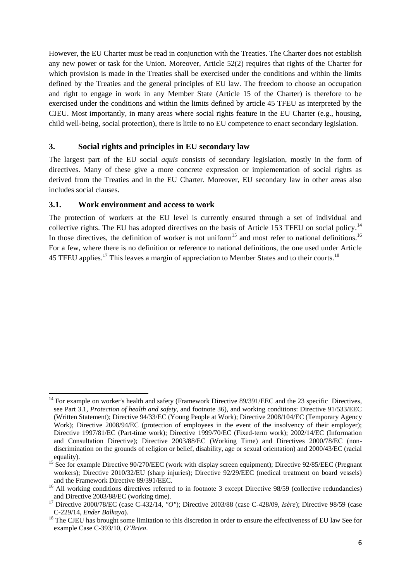However, the EU Charter must be read in conjunction with the Treaties. The Charter does not establish any new power or task for the Union. Moreover, Article 52(2) requires that rights of the Charter for which provision is made in the Treaties shall be exercised under the conditions and within the limits defined by the Treaties and the general principles of EU law. The freedom to choose an occupation and right to engage in work in any Member State (Article 15 of the Charter) is therefore to be exercised under the conditions and within the limits defined by article 45 TFEU as interpreted by the CJEU. Most importantly, in many areas where social rights feature in the EU Charter (e.g., housing, child well-being, social protection), there is little to no EU competence to enact secondary legislation.

## <span id="page-5-0"></span>**3. Social rights and principles in EU secondary law**

The largest part of the EU social *aquis* consists of secondary legislation, mostly in the form of directives. Many of these give a more concrete expression or implementation of social rights as derived from the Treaties and in the EU Charter. Moreover, EU secondary law in other areas also includes social clauses.

## <span id="page-5-1"></span>**3.1. Work environment and access to work**

The protection of workers at the EU level is currently ensured through a set of individual and collective rights. The EU has adopted directives on the basis of Article 153 TFEU on social policy.<sup>14</sup> In those directives, the definition of worker is not uniform<sup>15</sup> and most refer to national definitions.<sup>16</sup> For a few, where there is no definition or reference to national definitions, the one used under Article 45 TFEU applies.<sup>17</sup> This leaves a margin of appreciation to Member States and to their courts.<sup>18</sup>

**<sup>.</sup>** <sup>14</sup> For example on worker's health and safety (Framework Directive 89/391/EEC and the 23 specific Directives, see Part 3.1, *Protection of health and safety,* and footnote 36), and working conditions: Directive 91/533/EEC (Written Statement); Directive 94/33/EC (Young People at Work); Directive 2008/104/EC (Temporary Agency Work); Directive 2008/94/EC (protection of employees in the event of the insolvency of their employer); Directive 1997/81/EC (Part-time work); Directive 1999/70/EC (Fixed-term work); 2002/14/EC (Information and Consultation Directive); Directive 2003/88/EC (Working Time) and Directives 2000/78/EC (nondiscrimination on the grounds of religion or belief, disability, age or sexual orientation) and 2000/43/EC (racial equality).

<sup>&</sup>lt;sup>15</sup> See for example Directive 90/270/EEC (work with display screen equipment); Directive 92/85/EEC (Pregnant workers); Directive 2010/32/EU (sharp injuries); Directive 92/29/EEC (medical treatment on board vessels) and the Framework Directive 89/391/EEC.

<sup>&</sup>lt;sup>16</sup> All working conditions directives referred to in footnote 3 except Directive 98/59 (collective redundancies) and Directive 2003/88/EC (working time).

<sup>17</sup> Directive 2000/78/EC (case C-432/14, *"O"*); Directive 2003/88 (case C-428/09, *Isère*); Directive 98/59 (case C-229/14, *Ender Balkaya*).

<sup>&</sup>lt;sup>18</sup> The CJEU has brought some limitation to this discretion in order to ensure the effectiveness of EU law See for example Case C-393/10, *O'Brien*.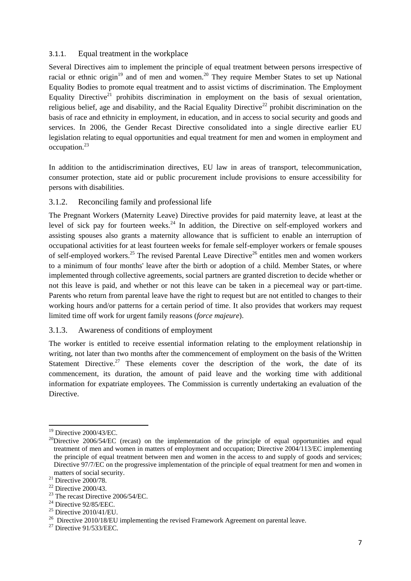## <span id="page-6-0"></span>3.1.1. Equal treatment in the workplace

Several Directives aim to implement the principle of equal treatment between persons irrespective of racial or ethnic origin $19$  and of men and women.<sup>20</sup> They require Member States to set up National Equality Bodies to promote equal treatment and to assist victims of discrimination. The Employment Equality Directive<sup>21</sup> prohibits discrimination in employment on the basis of sexual orientation, religious belief, age and disability, and the Racial Equality Directive<sup>22</sup> prohibit discrimination on the basis of race and ethnicity in employment, in education, and in access to social security and goods and services. In 2006, the Gender Recast Directive consolidated into a single directive earlier EU legislation relating to equal opportunities and equal treatment for men and women in employment and occupation.<sup>23</sup>

In addition to the antidiscrimination directives, EU law in areas of transport, telecommunication, consumer protection, state aid or public procurement include provisions to ensure accessibility for persons with disabilities.

## <span id="page-6-1"></span>3.1.2. Reconciling family and professional life

The Pregnant Workers (Maternity Leave) Directive provides for paid maternity leave, at least at the level of sick pay for fourteen weeks.<sup>24</sup> In addition, the Directive on self-employed workers and assisting spouses also grants a maternity allowance that is sufficient to enable an interruption of occupational activities for at least fourteen weeks for female self-employer workers or female spouses of self-employed workers.<sup>25</sup> The revised Parental Leave Directive<sup>26</sup> entitles men and women workers to a minimum of four months' leave after the birth or adoption of a child. Member States, or where implemented through collective agreements, social partners are granted discretion to decide whether or not this leave is paid, and whether or not this leave can be taken in a piecemeal way or part-time. Parents who return from parental leave have the right to request but are not entitled to changes to their working hours and/or patterns for a certain period of time. It also provides that workers may request limited time off work for urgent family reasons (*force majeure*).

#### <span id="page-6-2"></span>3.1.3. Awareness of conditions of employment

The worker is entitled to receive essential information relating to the employment relationship in writing, not later than two months after the commencement of employment on the basis of the Written Statement Directive.<sup>27</sup> These elements cover the description of the work, the date of its commencement, its duration, the amount of paid leave and the working time with additional information for expatriate employees. The Commission is currently undertaking an evaluation of the Directive.

**<sup>.</sup>**  $19$  Directive 2000/43/EC.

 $^{20}$ Directive 2006/54/EC (recast) on the implementation of the principle of equal opportunities and equal treatment of men and women in matters of employment and occupation; Directive 2004/113/EC implementing the principle of equal treatment between men and women in the access to and supply of goods and services; Directive 97/7/EC on the progressive implementation of the principle of equal treatment for men and women in matters of social security.

 $^{21}$  Directive 2000/78.

 $22$  Directive 2000/43.

<sup>&</sup>lt;sup>23</sup> The recast Directive 2006/54/EC.

 $24$  Directive 92/85/EEC.

 $25$  Directive 2010/41/EU.

 $26$  Directive 2010/18/EU implementing the revised Framework Agreement on parental leave.

 $27$  Directive 91/533/EEC.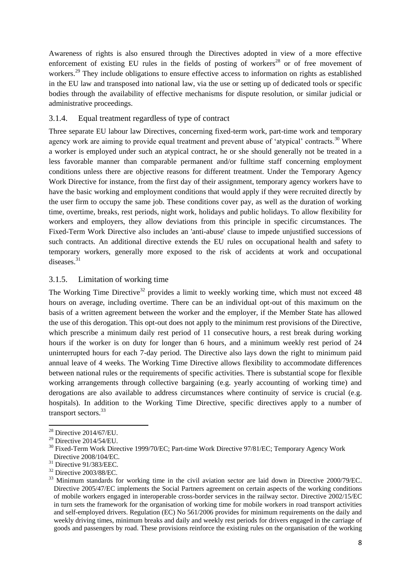Awareness of rights is also ensured through the Directives adopted in view of a more effective enforcement of existing EU rules in the fields of posting of workers<sup>28</sup> or of free movement of workers.<sup>29</sup> They include obligations to ensure effective access to information on rights as established in the EU law and transposed into national law, via the use or setting up of dedicated tools or specific bodies through the availability of effective mechanisms for dispute resolution, or similar judicial or administrative proceedings.

## <span id="page-7-0"></span>3.1.4. Equal treatment regardless of type of contract

Three separate EU labour law Directives, concerning fixed-term work, part-time work and temporary agency work are aiming to provide equal treatment and prevent abuse of 'atypical' contracts.<sup>30</sup> Where a worker is employed under such an atypical contract, he or she should generally not be treated in a less favorable manner than comparable permanent and/or fulltime staff concerning employment conditions unless there are objective reasons for different treatment. Under the Temporary Agency Work Directive for instance, from the first day of their assignment, temporary agency workers have to have the basic working and employment conditions that would apply if they were recruited directly by the user firm to occupy the same job. These conditions cover pay, as well as the duration of working time, overtime, breaks, rest periods, night work, holidays and public holidays. To allow flexibility for workers and employers, they allow deviations from this principle in specific circumstances. The Fixed-Term Work Directive also includes an 'anti-abuse' clause to impede unjustified successions of such contracts. An additional directive extends the EU rules on occupational health and safety to temporary workers, generally more exposed to the risk of accidents at work and occupational diseases.<sup>31</sup>

## <span id="page-7-1"></span>3.1.5. Limitation of working time

The Working Time Directive<sup>32</sup> provides a limit to weekly working time, which must not exceed  $48$ hours on average, including overtime. There can be an individual opt-out of this maximum on the basis of a written agreement between the worker and the employer, if the Member State has allowed the use of this derogation. This opt-out does not apply to the minimum rest provisions of the Directive, which prescribe a minimum daily rest period of 11 consecutive hours, a rest break during working hours if the worker is on duty for longer than 6 hours, and a minimum weekly rest period of 24 uninterrupted hours for each 7-day period. The Directive also lays down the right to minimum paid annual leave of 4 weeks. The Working Time Directive allows flexibility to accommodate differences between national rules or the requirements of specific activities. There is substantial scope for flexible working arrangements through collective bargaining (e.g. yearly accounting of working time) and derogations are also available to address circumstances where continuity of service is crucial (e.g. hospitals). In addition to the Working Time Directive, specific directives apply to a number of transport sectors.<sup>33</sup>

<sup>32</sup> Directive 2003/88/EC.

**<sup>.</sup>**  $28$  Directive 2014/67/EU.

 $29$  Directive 2014/54/EU.

<sup>&</sup>lt;sup>30</sup> Fixed-Term Work Directive 1999/70/EC; Part-time Work Directive 97/81/EC; Temporary Agency Work Directive 2008/104/EC.

 $31$  Directive 91/383/EEC.

<sup>&</sup>lt;sup>33</sup> Minimum standards for working time in the civil aviation sector are laid down in Directive 2000/79/EC. Directive 2005/47/EC implements the Social Partners agreement on certain aspects of the working conditions of mobile workers engaged in interoperable cross-border services in the railway sector. Directive 2002/15/EC in turn sets the framework for the organisation of working time for mobile workers in road transport activities and self-employed drivers. Regulation (EC) No 561/2006 provides for minimum requirements on the daily and weekly driving times, minimum breaks and daily and weekly rest periods for drivers engaged in the carriage of goods and passengers by road. These provisions reinforce the existing rules on the organisation of the working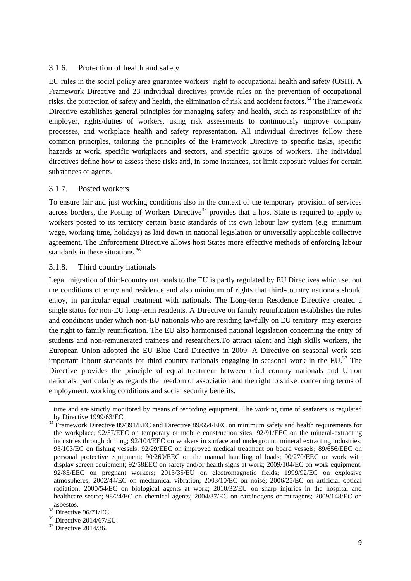## <span id="page-8-0"></span>3.1.6. Protection of health and safety

EU rules in the social policy area guarantee workers' right to occupational health and safety (OSH)**.** A Framework Directive and 23 individual directives provide rules on the prevention of occupational risks, the protection of safety and health, the elimination of risk and accident factors.<sup>34</sup> The Framework Directive establishes general principles for managing safety and health, such as responsibility of the employer, rights/duties of workers, using risk assessments to continuously improve company processes, and workplace health and safety representation. All individual directives follow these common principles, tailoring the principles of the Framework Directive to specific tasks, specific hazards at work, specific workplaces and sectors, and specific groups of workers. The individual directives define how to assess these risks and, in some instances, set limit exposure values for certain substances or agents.

#### <span id="page-8-1"></span>3.1.7. Posted workers

To ensure fair and just working conditions also in the context of the temporary provision of services across borders, the Posting of Workers Directive<sup>35</sup> provides that a host State is required to apply to workers posted to its territory certain basic standards of its own labour law system (e.g. minimum wage, working time, holidays) as laid down in national legislation or universally applicable collective agreement. The Enforcement Directive allows host States more effective methods of enforcing labour standards in these situations.<sup>36</sup>

#### <span id="page-8-2"></span>3.1.8. Third country nationals

Legal migration of third-country nationals to the EU is partly regulated by EU Directives which set out the conditions of entry and residence and also minimum of rights that third-country nationals should enjoy, in particular equal treatment with nationals. The Long-term Residence Directive created a single status for non-EU long-term residents. A Directive on family reunification establishes the rules and conditions under which non-EU nationals who are residing lawfully on EU territory may exercise the right to family reunification. The EU also harmonised national legislation concerning the entry of students and non-remunerated trainees and researchers.To attract talent and high skills workers, the European Union adopted the EU Blue Card Directive in 2009. A Directive on seasonal work sets important labour standards for third country nationals engaging in seasonal work in the EU.<sup>37</sup> The Directive provides the principle of equal treatment between third country nationals and Union nationals, particularly as regards the freedom of association and the right to strike, concerning terms of employment, working conditions and social security benefits.

time and are strictly monitored by means of recording equipment. The working time of seafarers is regulated by Directive 1999/63/EC.

<sup>&</sup>lt;sup>34</sup> Framework Directive 89/391/EEC and Directive 89/654/EEC on minimum safety and health requirements for the workplace; 92/57/EEC on temporary or mobile construction sites; 92/91/EEC on the mineral-extracting industries through drilling; 92/104/EEC on workers in surface and underground mineral extracting industries; 93/103/EC on fishing vessels; 92/29/EEC on improved medical treatment on board vessels; 89/656/EEC on personal protective equipment; 90/269/EEC on the manual handling of loads; 90/270/EEC on work with display screen equipment; 92/58EEC on safety and/or health signs at work; 2009/104/EC on work equipment; 92/85/EEC on pregnant workers; 2013/35/EU on electromagnetic fields; 1999/92/EC on explosive atmospheres; 2002/44/EC on mechanical vibration; 2003/10/EC on noise; 2006/25/EC on artificial optical radiation; 2000/54/EC on biological agents at work; 2010/32/EU on sharp injuries in the hospital and healthcare sector; 98/24/EC on chemical agents; 2004/37/EC on carcinogens or mutagens; 2009/148/EC on asbestos.

<sup>38</sup> Directive 96/71/EC.

<sup>39</sup> Directive 2014/67/EU.

<sup>37</sup> Directive 2014/36.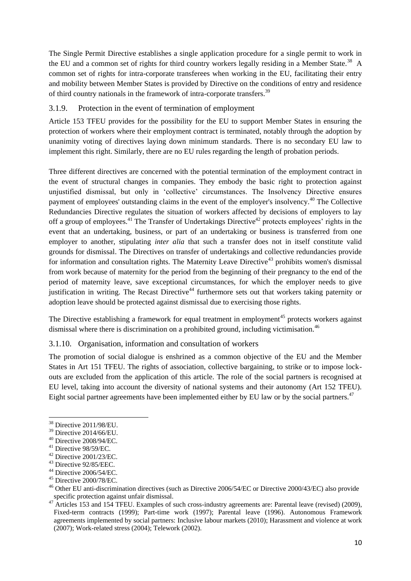The Single Permit Directive establishes a single application procedure for a single permit to work in the EU and a common set of rights for third country workers legally residing in a Member State.<sup>38</sup> A common set of rights for intra-corporate transferees when working in the EU, facilitating their entry and mobility between Member States is provided by Directive on the conditions of entry and residence of third country nationals in the framework of intra-corporate transfers.<sup>39</sup>

## <span id="page-9-0"></span>3.1.9. Protection in the event of termination of employment

Article 153 TFEU provides for the possibility for the EU to support Member States in ensuring the protection of workers where their employment contract is terminated, notably through the adoption by unanimity voting of directives laying down minimum standards. There is no secondary EU law to implement this right. Similarly, there are no EU rules regarding the length of probation periods.

Three different directives are concerned with the potential termination of the employment contract in the event of structural changes in companies. They embody the basic right to protection against unjustified dismissal, but only in 'collective' circumstances. The Insolvency Directive ensures payment of employees' outstanding claims in the event of the employer's insolvency.<sup>40</sup> The Collective Redundancies Directive regulates the situation of workers affected by decisions of employers to lay off a group of employees.<sup>41</sup> The Transfer of Undertakings Directive<sup>42</sup> protects employees' rights in the event that an undertaking, business, or part of an undertaking or business is transferred from one employer to another, stipulating *inter alia* that such a transfer does not in itself constitute valid grounds for dismissal. The Directives on transfer of undertakings and collective redundancies provide for information and consultation rights. The Maternity Leave Directive<sup>43</sup> prohibits women's dismissal from work because of maternity for the period from the beginning of their pregnancy to the end of the period of maternity leave, save exceptional circumstances, for which the employer needs to give justification in writing. The Recast Directive<sup>44</sup> furthermore sets out that workers taking paternity or adoption leave should be protected against dismissal due to exercising those rights.

The Directive establishing a framework for equal treatment in employment<sup>45</sup> protects workers against dismissal where there is discrimination on a prohibited ground, including victimisation.<sup>46</sup>

#### <span id="page-9-1"></span>3.1.10. Organisation, information and consultation of workers

The promotion of social dialogue is enshrined as a common objective of the EU and the Member States in Art 151 TFEU. The rights of association, collective bargaining, to strike or to impose lockouts are excluded from the application of this article. The role of the social partners is recognised at EU level, taking into account the diversity of national systems and their autonomy (Art 152 TFEU). Eight social partner agreements have been implemented either by EU law or by the social partners.<sup>47</sup>

1

<sup>38</sup> Directive 2011/98/EU.

<sup>39</sup> Directive 2014/66/EU.

 $40$  Directive 2008/94/EC.

<sup>41</sup> Directive 98/59/EC.

 $42$  Directive 2001/23/EC.

<sup>43</sup> Directive 92/85/EEC.

<sup>44</sup> Directive 2006/54/EC.

<sup>45</sup> Directive 2000/78/EC.

<sup>&</sup>lt;sup>46</sup> Other EU anti-discrimination directives (such as Directive 2006/54/EC or Directive 2000/43/EC) also provide specific protection against unfair dismissal.

<sup>47</sup> Articles 153 and 154 TFEU. Examples of such cross-industry agreements are: [Parental leave \(revised\) \(2009\),](http://www.etuc.org/a/575) Fixed-term contracts (1999); [Part-time work \(1997\);](http://www.etuc.org/a/576) [Parental leave \(1996\).](http://www.etuc.org/a/6282) Autonomous Framework agreements implemented by social partners: [Inclusive labour markets \(2010\);](http://www.etuc.org/a/7076) [Harassment and violence at work](http://www.etuc.org/a/3574)  [\(2007\);](http://www.etuc.org/a/3574) [Work-related stress \(2004\);](http://www.etuc.org/a/529) [Telework \(2002\).](http://www.etuc.org/a/579)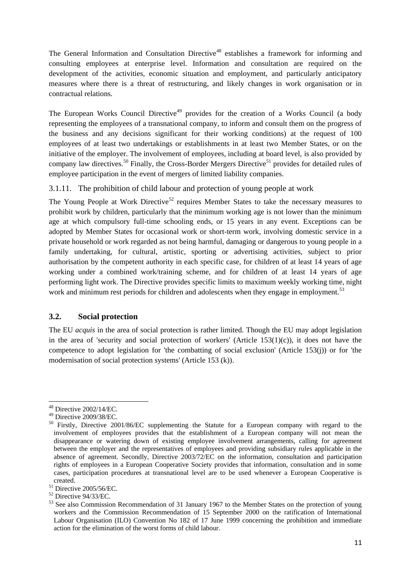The General Information and Consultation Directive<sup>48</sup> establishes a framework for informing and consulting employees at enterprise level. Information and consultation are required on the development of the activities, economic situation and employment, and particularly anticipatory measures where there is a threat of restructuring, and likely changes in work organisation or in contractual relations.

The European Works Council Directive<sup>49</sup> provides for the creation of a Works Council (a body representing the employees of a transnational company, to inform and consult them on the progress of the business and any decisions significant for their working conditions) at the request of 100 employees of at least two undertakings or establishments in at least two Member States, or on the initiative of the employer. The involvement of employees, including at board level, is also provided by company law directives.<sup>50</sup> Finally, the Cross-Border Mergers Directive<sup>51</sup> provides for detailed rules of employee participation in the event of mergers of limited liability companies.

<span id="page-10-0"></span>3.1.11. The prohibition of child labour and protection of young people at work

The Young People at Work Directive<sup>52</sup> requires Member States to take the necessary measures to prohibit work by children, particularly that the minimum working age is not lower than the minimum age at which compulsory full-time schooling ends, or 15 years in any event. Exceptions can be adopted by Member States for occasional work or short-term work, involving domestic service in a private household or work regarded as not being harmful, damaging or dangerous to young people in a family undertaking, for cultural, artistic, sporting or advertising activities, subject to prior authorisation by the competent authority in each specific case, for children of at least 14 years of age working under a combined work/training scheme, and for children of at least 14 years of age performing light work. The Directive provides specific limits to maximum weekly working time, night work and minimum rest periods for children and adolescents when they engage in employment.<sup>53</sup>

## <span id="page-10-1"></span>**3.2. Social protection**

The EU *acquis* in the area of social protection is rather limited. Though the EU may adopt legislation in the area of 'security and social protection of workers' (Article  $153(1)(c)$ ), it does not have the competence to adopt legislation for 'the combatting of social exclusion' (Article 153(j)) or for 'the modernisation of social protection systems' (Article 153 (k)).

**<sup>.</sup>**  $48$  Directive 2002/14/EC.

<sup>49</sup> Directive 2009/38/EC.

<sup>&</sup>lt;sup>50</sup> Firstly, Directive 2001/86/EC supplementing the Statute for a European company with regard to the involvement of employees provides that the establishment of a European company will not mean the disappearance or watering down of existing employee involvement arrangements, calling for agreement between the employer and the representatives of employees and providing subsidiary rules applicable in the absence of agreement. Secondly, Directive 2003/72/EC on the information, consultation and participation rights of employees in a European Cooperative Society provides that information, consultation and in some cases, participation procedures at transnational level are to be used whenever a European Cooperative is created.

 $51$  Directive 2005/56/EC.

<sup>52</sup> Directive 94/33/EC.

<sup>&</sup>lt;sup>53</sup> See also Commission Recommendation of 31 January 1967 to the Member States on the protection of young workers and the Commission Recommendation of 15 September 2000 on the ratification of International Labour Organisation (ILO) Convention No 182 of 17 June 1999 concerning the prohibition and immediate action for the elimination of the worst forms of child labour.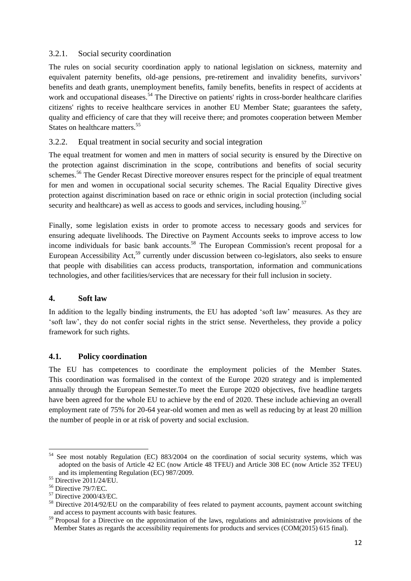## <span id="page-11-0"></span>3.2.1. Social security coordination

The rules on social security coordination apply to national legislation on sickness, maternity and equivalent paternity benefits, old-age pensions, pre-retirement and invalidity benefits, survivors' benefits and death grants, unemployment benefits, family benefits, benefits in respect of accidents at work and occupational diseases.<sup>54</sup> The Directive on patients' rights in cross-border healthcare clarifies citizens' rights to receive healthcare services in another EU Member State; guarantees the safety, quality and efficiency of care that they will receive there; and promotes cooperation between Member States on healthcare matters.<sup>55</sup>

## <span id="page-11-1"></span>3.2.2. Equal treatment in social security and social integration

The equal treatment for women and men in matters of social security is ensured by the Directive on the protection against discrimination in the scope, contributions and benefits of social security schemes.<sup>56</sup> The Gender Recast Directive moreover ensures respect for the principle of equal treatment for men and women in occupational social security schemes. The Racial Equality Directive gives protection against discrimination based on race or ethnic origin in social protection (including social security and healthcare) as well as access to goods and services, including housing.<sup>57</sup>

Finally, some legislation exists in order to promote access to necessary goods and services for ensuring adequate livelihoods. The Directive on Payment Accounts seeks to improve access to low income individuals for basic bank accounts.<sup>58</sup> The European Commission's recent proposal for a European Accessibility Act,<sup>59</sup> currently under discussion between co-legislators, also seeks to ensure that people with disabilities can access products, transportation, information and communications technologies, and other facilities/services that are necessary for their full inclusion in society.

#### <span id="page-11-2"></span>**4. Soft law**

In addition to the legally binding instruments, the EU has adopted 'soft law' measures. As they are 'soft law', they do not confer social rights in the strict sense. Nevertheless, they provide a policy framework for such rights.

#### <span id="page-11-3"></span>**4.1. Policy coordination**

The EU has competences to coordinate the employment policies of the Member States. This coordination was formalised in the context of the Europe 2020 strategy and is implemented annually through the European Semester.To meet the Europe 2020 objectives, five headline targets have been agreed for the whole EU to achieve by the end of 2020. These include achieving an overall employment rate of 75% for 20-64 year-old women and men as well as reducing by at least 20 million the number of people in or at risk of poverty and social exclusion.

 $54\,$ See most notably Regulation (EC) 883/2004 on the coordination of social security systems, which was adopted on the basis of Article 42 EC (now Article 48 TFEU) and Article 308 EC (now Article 352 TFEU) and its implementing Regulation (EC) 987/2009.

<sup>55</sup> Directive 2011/24/EU.

<sup>56</sup> Directive 79/7/EC.

<sup>57</sup> Directive 2000/43/EC.

<sup>&</sup>lt;sup>58</sup> Directive 2014/92/EU on the comparability of fees related to payment accounts, payment account switching and access to payment accounts with basic features.

<sup>&</sup>lt;sup>59</sup> Proposal for a Directive on the approximation of the laws, regulations and administrative provisions of the Member States as regards the accessibility requirements for products and services (COM(2015) 615 final).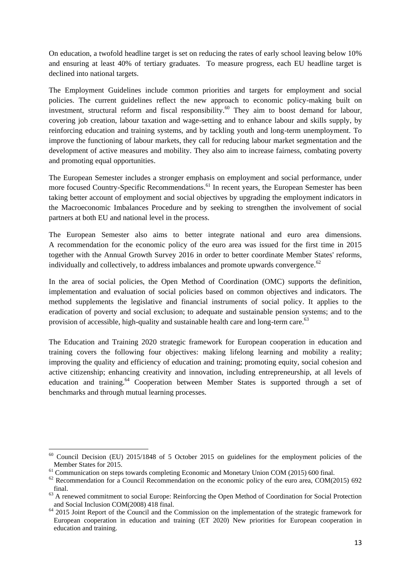On education, a twofold headline target is set on reducing the rates of early school leaving below 10% and ensuring at least 40% of tertiary graduates. To measure progress, each EU headline target is declined into national targets.

The Employment Guidelines include common priorities and targets for employment and social policies. The current guidelines reflect the new approach to economic policy-making built on investment, structural reform and fiscal responsibility.<sup>60</sup> They aim to boost demand for labour, covering job creation, labour taxation and wage-setting and to enhance labour and skills supply, by reinforcing education and training systems, and by tackling youth and long-term unemployment. To improve the functioning of labour markets, they call for reducing labour market segmentation and the development of active measures and mobility. They also aim to increase fairness, combating poverty and promoting equal opportunities.

The European Semester includes a stronger emphasis on employment and social performance, under more focused Country-Specific Recommendations.<sup>61</sup> In recent years, the European Semester has been taking better account of employment and social objectives by upgrading the employment indicators in the Macroeconomic Imbalances Procedure and by seeking to strengthen the involvement of social partners at both EU and national level in the process.

The European Semester also aims to better integrate national and euro area dimensions. A recommendation for the economic policy of the euro area was issued for the first time in 2015 together with the Annual Growth Survey 2016 in order to better coordinate Member States' reforms, individually and collectively, to address imbalances and promote upwards convergence. $62$ 

In the area of social policies, the Open Method of Coordination (OMC) supports the definition, implementation and evaluation of social policies based on common objectives and indicators. The method supplements the legislative and financial instruments of social policy. It applies to the eradication of poverty and social exclusion; to adequate and sustainable pension systems; and to the provision of accessible, high-quality and sustainable health care and long-term care.<sup>63</sup>

The Education and Training 2020 strategic framework for European cooperation in education and training covers the following four objectives: making lifelong learning and mobility a reality; improving the quality and efficiency of education and training; promoting equity, social cohesion and active citizenship; enhancing creativity and innovation, including entrepreneurship, at all levels of education and training.<sup>64</sup> Cooperation between Member States is supported through a set of benchmarks and through mutual learning processes.

**<sup>.</sup>**  $60$  Council Decision (EU) 2015/1848 of 5 October 2015 on guidelines for the employment policies of the Member States for 2015.

<sup>&</sup>lt;sup>61</sup> Communication on steps towards completing Economic and Monetary Union COM (2015) 600 final.

 $62$  Recommendation for a Council Recommendation on the economic policy of the euro area, COM(2015) 692 final.

<sup>&</sup>lt;sup>63</sup> A renewed commitment to social Europe: Reinforcing the Open Method of Coordination for Social Protection and Social Inclusion COM(2008) 418 final.

<sup>&</sup>lt;sup>64</sup> 2015 Joint Report of the Council and the Commission on the implementation of the strategic framework for European cooperation in education and training (ET 2020) New priorities for European cooperation in education and training.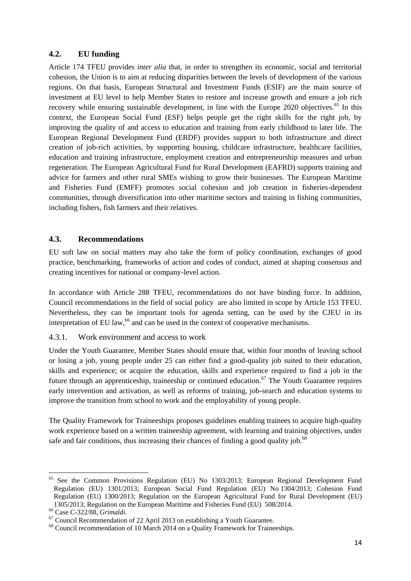## <span id="page-13-0"></span>**4.2. EU funding**

Article 174 TFEU provides *inter alia* that, in order to strengthen its economic, social and territorial cohesion, the Union is to aim at reducing disparities between the levels of development of the various regions. On that basis, European Structural and Investment Funds (ESIF) are the main source of investment at EU level to help Member States to restore and increase growth and ensure a job rich recovery while ensuring sustainable development, in line with the Europe 2020 objectives.<sup>65</sup> In this context, the European Social Fund (ESF) helps people get the right skills for the right job, by improving the quality of and access to education and training from early childhood to later life. The European Regional Development Fund (ERDF) provides support to both infrastructure and direct creation of job-rich activities, by supporting housing, childcare infrastructure, healthcare facilities, education and training infrastructure, employment creation and entrepreneurship measures and urban regeneration. The European Agricultural Fund for Rural Development (EAFRD) supports training and advice for farmers and other rural SMEs wishing to grow their businesses. The European Maritime and Fisheries Fund (EMFF) promotes social cohesion and job creation in fisheries-dependent communities, through diversification into other maritime sectors and training in fishing communities, including fishers, fish farmers and their relatives.

#### <span id="page-13-1"></span>**4.3. Recommendations**

EU soft law on social matters may also take the form of policy coordination, exchanges of good practice, benchmarking, frameworks of action and codes of conduct, aimed at shaping consensus and creating incentives for national or company-level action.

In accordance with Article 288 TFEU, recommendations do not have binding force. In addition, Council recommendations in the field of social policy are also limited in scope by Article 153 TFEU. Nevertheless, they can be important tools for agenda setting, can be used by the CJEU in its interpretation of EU law, $^{66}$  and can be used in the context of cooperative mechanisms.

## <span id="page-13-2"></span>4.3.1. Work environment and access to work

Under the Youth Guarantee, Member States should ensure that, within four months of leaving school or losing a job, young people under 25 can either find a good-quality job suited to their education, skills and experience; or acquire the education, skills and experience required to find a job in the future through an apprenticeship, traineeship or continued education.<sup>67</sup> The Youth Guarantee requires early intervention and activation, as well as reforms of training, job-search and education systems to improve the transition from school to work and the employability of young people.

The Quality Framework for Traineeships proposes guidelines enabling trainees to acquire high-quality work experience based on a written traineeship agreement, with learning and training objectives, under safe and fair conditions, thus increasing their chances of finding a good quality job.<sup>68</sup>

<sup>&</sup>lt;sup>65</sup> See the Common Provisions Regulation (EU) No 1303/2013; European Regional Development Fund Regulation (EU) 1301/2013; European Social Fund Regulation (EU) No 1304/2013; Cohesion Fund Regulation (EU) 1300/2013; Regulation on the European Agricultural Fund for Rural Development (EU) 1305/2013; Regulation on the European Maritime and Fisheries Fund (EU) 508/2014.

<sup>66</sup> Case C-322/88, *Grimaldi*.

 $67$  Council Recommendation of 22 April 2013 on establishing a Youth Guarantee.

 $68$  Council recommendation of 10 March 2014 on a Quality Framework for Traineeships.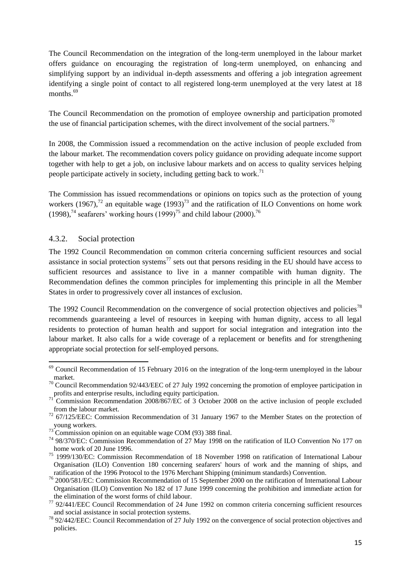The Council Recommendation on the integration of the long-term unemployed in the labour market offers guidance on encouraging the registration of long-term unemployed, on enhancing and simplifying support by an individual in-depth assessments and offering a job integration agreement identifying a single point of contact to all registered long-term unemployed at the very latest at 18 months.<sup>69</sup>

The Council Recommendation on the promotion of employee ownership and participation promoted the use of financial participation schemes, with the direct involvement of the social partners.<sup>70</sup>

In 2008, the Commission issued a recommendation on the active inclusion of people excluded from the labour market. The recommendation covers policy guidance on providing adequate income support together with help to get a job, on inclusive labour markets and on access to quality services helping people participate actively in society, including getting back to work.<sup>71</sup>

The Commission has issued recommendations or opinions on topics such as the protection of young workers (1967),<sup>72</sup> an equitable wage (1993)<sup>73</sup> and the ratification of ILO Conventions on home work  $(1998)$ ,<sup>74</sup> seafarers' working hours  $(1999)$ <sup>75</sup> and child labour (2000).<sup>76</sup>

#### <span id="page-14-0"></span>4.3.2. Social protection

1

The 1992 Council Recommendation on common criteria concerning sufficient resources and social assistance in social protection systems<sup>77</sup> sets out that persons residing in the EU should have access to sufficient resources and assistance to live in a manner compatible with human dignity. The Recommendation defines the common principles for implementing this principle in all the Member States in order to progressively cover all instances of exclusion.

The 1992 Council Recommendation on the convergence of social protection objectives and policies<sup>78</sup> recommends guaranteeing a level of resources in keeping with human dignity, access to all legal residents to protection of human health and support for social integration and integration into the labour market. It also calls for a wide coverage of a replacement or benefits and for strengthening appropriate social protection for self-employed persons.

<sup>&</sup>lt;sup>69</sup> Council Recommendation of 15 February 2016 on the integration of the long-term unemployed in the labour market.

<sup>&</sup>lt;sup>70</sup> Council Recommendation 92/443/EEC of 27 July 1992 concerning the promotion of employee participation in profits and enterprise results, including equity participation.

<sup>71</sup> Commission Recommendation 2008/867/EC of 3 October 2008 on the active inclusion of people excluded from the labour market.

<sup>72</sup> 67/125/EEC: Commission Recommendation of 31 January 1967 to the Member States on the protection of young workers.

 $73$  Commission opinion on an equitable wage COM (93) 388 final.

<sup>74</sup> 98/370/EC: Commission Recommendation of 27 May 1998 on the ratification of ILO Convention No 177 on home work of 20 June 1996.

<sup>75</sup> 1999/130/EC: Commission Recommendation of 18 November 1998 on ratification of International Labour Organisation (ILO) Convention 180 concerning seafarers' hours of work and the manning of ships, and ratification of the 1996 Protocol to the 1976 Merchant Shipping (minimum standards) Convention.

<sup>&</sup>lt;sup>76</sup> 2000/581/EC: Commission Recommendation of 15 September 2000 on the ratification of International Labour Organisation (ILO) Convention No 182 of 17 June 1999 concerning the prohibition and immediate action for the elimination of the worst forms of child labour.

 $77$  92/441/EEC Council Recommendation of 24 June 1992 on common criteria concerning sufficient resources and social assistance in social protection systems.

<sup>&</sup>lt;sup>78</sup> 92/442/EEC: Council Recommendation of 27 July 1992 on the convergence of social protection objectives and policies.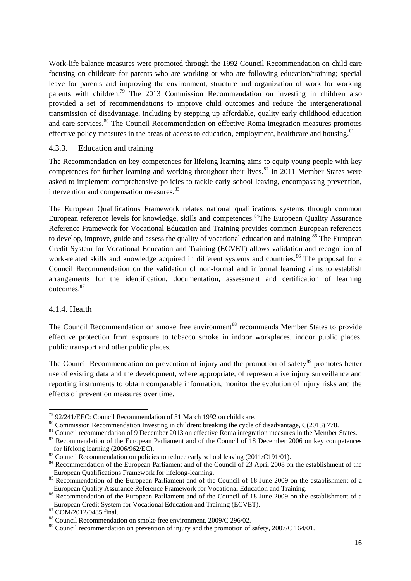Work-life balance measures were promoted through the 1992 Council Recommendation on child care focusing on childcare for parents who are working or who are following education/training; special leave for parents and improving the environment, structure and organization of work for working parents with children.<sup>79</sup> The 2013 Commission Recommendation on investing in children also provided a set of recommendations to improve child outcomes and reduce the intergenerational transmission of disadvantage, including by stepping up affordable, quality early childhood education and care services.<sup>80</sup> The Council Recommendation on effective Roma integration measures promotes effective policy measures in the areas of access to education, employment, healthcare and housing.<sup>81</sup>

#### <span id="page-15-0"></span>4.3.3. Education and training

The Recommendation on key competences for lifelong learning aims to equip young people with key competences for further learning and working throughout their lives. $82$  In 2011 Member States were asked to implement comprehensive policies to tackle early school leaving, encompassing prevention, intervention and compensation measures.<sup>83</sup>

The European Qualifications Framework relates national qualifications systems through common European reference levels for knowledge, skills and competences.<sup>84</sup>The European Quality Assurance Reference Framework for Vocational Education and Training provides common European references to develop, improve, guide and assess the quality of vocational education and training.<sup>85</sup> The European Credit System for Vocational Education and Training (ECVET) allows validation and recognition of work-related skills and knowledge acquired in different systems and countries.<sup>86</sup> The proposal for a Council Recommendation on the validation of non-formal and informal learning aims to establish arrangements for the identification, documentation, assessment and certification of learning outcomes.<sup>87</sup>

#### 4.1.4. Health

1

The Council Recommendation on smoke free environment<sup>88</sup> recommends Member States to provide effective protection from exposure to tobacco smoke in indoor workplaces, indoor public places, public transport and other public places.

The Council Recommendation on prevention of injury and the promotion of safety<sup>89</sup> promotes better use of existing data and the development, where appropriate, of representative injury surveillance and reporting instruments to obtain comparable information, monitor the evolution of injury risks and the effects of prevention measures over time.

<sup>79</sup> 92/241/EEC: Council Recommendation of 31 March 1992 on child care.

<sup>&</sup>lt;sup>80</sup> Commission Recommendation Investing in children: breaking the cycle of disadvantage, C(2013) 778.

<sup>&</sup>lt;sup>81</sup> Council recommendation of 9 December 2013 on effective Roma integration measures in the Member States.

<sup>&</sup>lt;sup>82</sup> Recommendation of the European Parliament and of the Council of 18 December 2006 on key competences for lifelong learning (2006/962/EC).

<sup>83</sup> Council Recommendation on policies to reduce early school leaving (2011/C191/01).

<sup>&</sup>lt;sup>84</sup> Recommendation of the European Parliament and of the Council of 23 April 2008 on the establishment of the European Qualifications Framework for lifelong-learning.

<sup>&</sup>lt;sup>85</sup> Recommendation of the European Parliament and of the Council of 18 June 2009 on the establishment of a European Quality Assurance Reference Framework for Vocational Education and Training.

<sup>&</sup>lt;sup>86</sup> Recommendation of the European Parliament and of the Council of 18 June 2009 on the establishment of a European Credit System for Vocational Education and Training (ECVET).

<sup>87</sup> COM/2012/0485 final.

<sup>88</sup> Council Recommendation on smoke free environment, 2009/C 296/02.

<sup>89</sup> Council recommendation on prevention of injury and the promotion of safety, 2007/C 164/01.